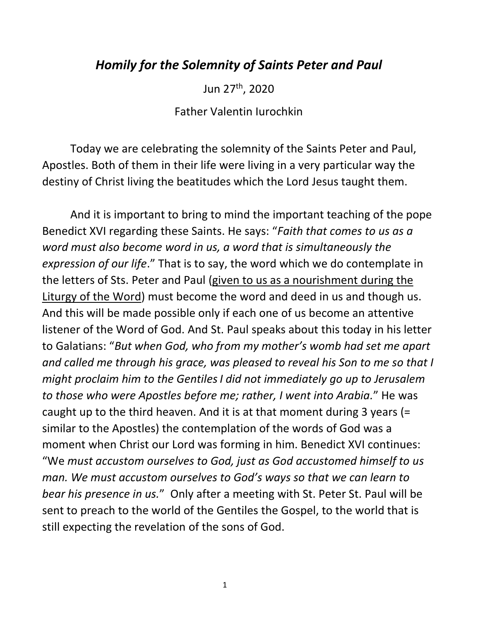## *Homily for the Solemnity of Saints Peter and Paul*

Jun 27<sup>th</sup>, 2020

Father Valentin Iurochkin

Today we are celebrating the solemnity of the Saints Peter and Paul, Apostles. Both of them in their life were living in a very particular way the destiny of Christ living the beatitudes which the Lord Jesus taught them.

And it is important to bring to mind the important teaching of the pope Benedict XVI regarding these Saints. He says: "*Faith that comes to us as a word must also become word in us, a word that is simultaneously the expression of our life*." That is to say, the word which we do contemplate in the letters of Sts. Peter and Paul (given to us as a nourishment during the Liturgy of the Word) must become the word and deed in us and though us. And this will be made possible only if each one of us become an attentive listener of the Word of God. And St. Paul speaks about this today in his letter to Galatians: "*But when God, who from my mother's womb had set me apart and called me through his grace, was pleased to reveal his Son to me so that I might proclaim him to the GentilesI did not immediately go up to Jerusalem to those who were Apostles before me; rather, I went into Arabia.*" He was caught up to the third heaven. And it is at that moment during 3 years (= similar to the Apostles) the contemplation of the words of God was a moment when Christ our Lord was forming in him. Benedict XVI continues: "We *must accustom ourselves to God, just as God accustomed himself to us man. We must accustom ourselves to God's ways so that we can learn to bear his presence in us.*" Only after a meeting with St. Peter St. Paul will be sent to preach to the world of the Gentiles the Gospel, to the world that is still expecting the revelation of the sons of God.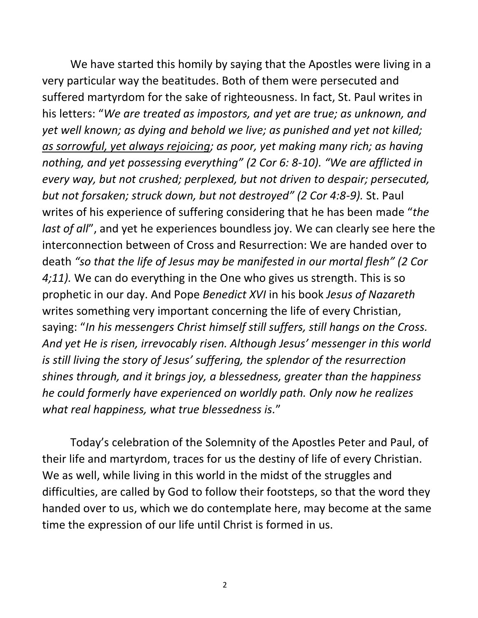We have started this homily by saying that the Apostles were living in a very particular way the beatitudes. Both of them were persecuted and suffered martyrdom for the sake of righteousness. In fact, St. Paul writes in his letters: "*We are treated as impostors, and yet are true; as unknown, and yet well known; as dying and behold we live; as punished and yet not killed; as sorrowful, yet always rejoicing; as poor, yet making many rich; as having nothing, and yet possessing everything" (2 Cor 6: 8-10). "We are afflicted in every way, but not crushed; perplexed, but not driven to despair; persecuted, but not forsaken; struck down, but not destroyed" (2 Cor 4:8-9).* St. Paul writes of his experience of suffering considering that he has been made "*the last of all*", and yet he experiences boundless joy. We can clearly see here the interconnection between of Cross and Resurrection: We are handed over to death *"so that the life of Jesus may be manifested in our mortal flesh" (2 Cor 4;11).* We can do everything in the One who gives us strength. This is so prophetic in our day. And Pope *Benedict XVI* in his book *Jesus of Nazareth* writes something very important concerning the life of every Christian, saying: "*In his messengers Christ himself still suffers, still hangs on the Cross. And yet He is risen, irrevocably risen. Although Jesus' messenger in this world is still living the story of Jesus' suffering, the splendor of the resurrection shines through, and it brings joy, a blessedness, greater than the happiness he could formerly have experienced on worldly path. Only now he realizes what real happiness, what true blessedness is.*"

Today's celebration of the Solemnity of the Apostles Peter and Paul, of their life and martyrdom, traces for us the destiny of life of every Christian. We as well, while living in this world in the midst of the struggles and difficulties, are called by God to follow their footsteps, so that the word they handed over to us, which we do contemplate here, may become at the same time the expression of our life until Christ is formed in us.